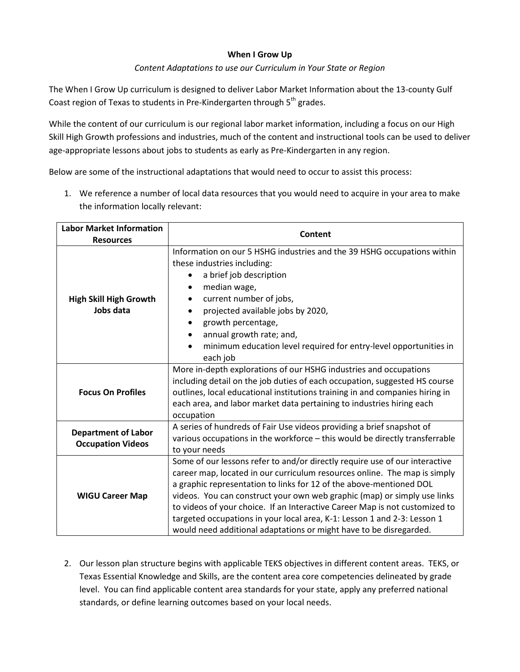## **When I Grow Up**

### *Content Adaptations to use our Curriculum in Your State or Region*

The When I Grow Up curriculum is designed to deliver Labor Market Information about the 13-county Gulf Coast region of Texas to students in Pre-Kindergarten through  $5<sup>th</sup>$  grades.

While the content of our curriculum is our regional labor market information, including a focus on our High Skill High Growth professions and industries, much of the content and instructional tools can be used to deliver age-appropriate lessons about jobs to students as early as Pre-Kindergarten in any region.

Below are some of the instructional adaptations that would need to occur to assist this process:

1. We reference a number of local data resources that you would need to acquire in your area to make the information locally relevant:

| <b>Labor Market Information</b><br><b>Resources</b>    | Content                                                                                                                                                                                                                                                                                                                                                                                                                                                                                                                                      |
|--------------------------------------------------------|----------------------------------------------------------------------------------------------------------------------------------------------------------------------------------------------------------------------------------------------------------------------------------------------------------------------------------------------------------------------------------------------------------------------------------------------------------------------------------------------------------------------------------------------|
| <b>High Skill High Growth</b><br>Jobs data             | Information on our 5 HSHG industries and the 39 HSHG occupations within<br>these industries including:<br>a brief job description<br>median wage,<br>current number of jobs,<br>projected available jobs by 2020,<br>growth percentage,<br>annual growth rate; and,<br>minimum education level required for entry-level opportunities in<br>each job                                                                                                                                                                                         |
| <b>Focus On Profiles</b>                               | More in-depth explorations of our HSHG industries and occupations<br>including detail on the job duties of each occupation, suggested HS course<br>outlines, local educational institutions training in and companies hiring in<br>each area, and labor market data pertaining to industries hiring each<br>occupation                                                                                                                                                                                                                       |
| <b>Department of Labor</b><br><b>Occupation Videos</b> | A series of hundreds of Fair Use videos providing a brief snapshot of<br>various occupations in the workforce - this would be directly transferrable<br>to your needs                                                                                                                                                                                                                                                                                                                                                                        |
| <b>WIGU Career Map</b>                                 | Some of our lessons refer to and/or directly require use of our interactive<br>career map, located in our curriculum resources online. The map is simply<br>a graphic representation to links for 12 of the above-mentioned DOL<br>videos. You can construct your own web graphic (map) or simply use links<br>to videos of your choice. If an Interactive Career Map is not customized to<br>targeted occupations in your local area, K-1: Lesson 1 and 2-3: Lesson 1<br>would need additional adaptations or might have to be disregarded. |

2. Our lesson plan structure begins with applicable TEKS objectives in different content areas. TEKS, or Texas Essential Knowledge and Skills, are the content area core competencies delineated by grade level. You can find applicable content area standards for your state, apply any preferred national standards, or define learning outcomes based on your local needs.